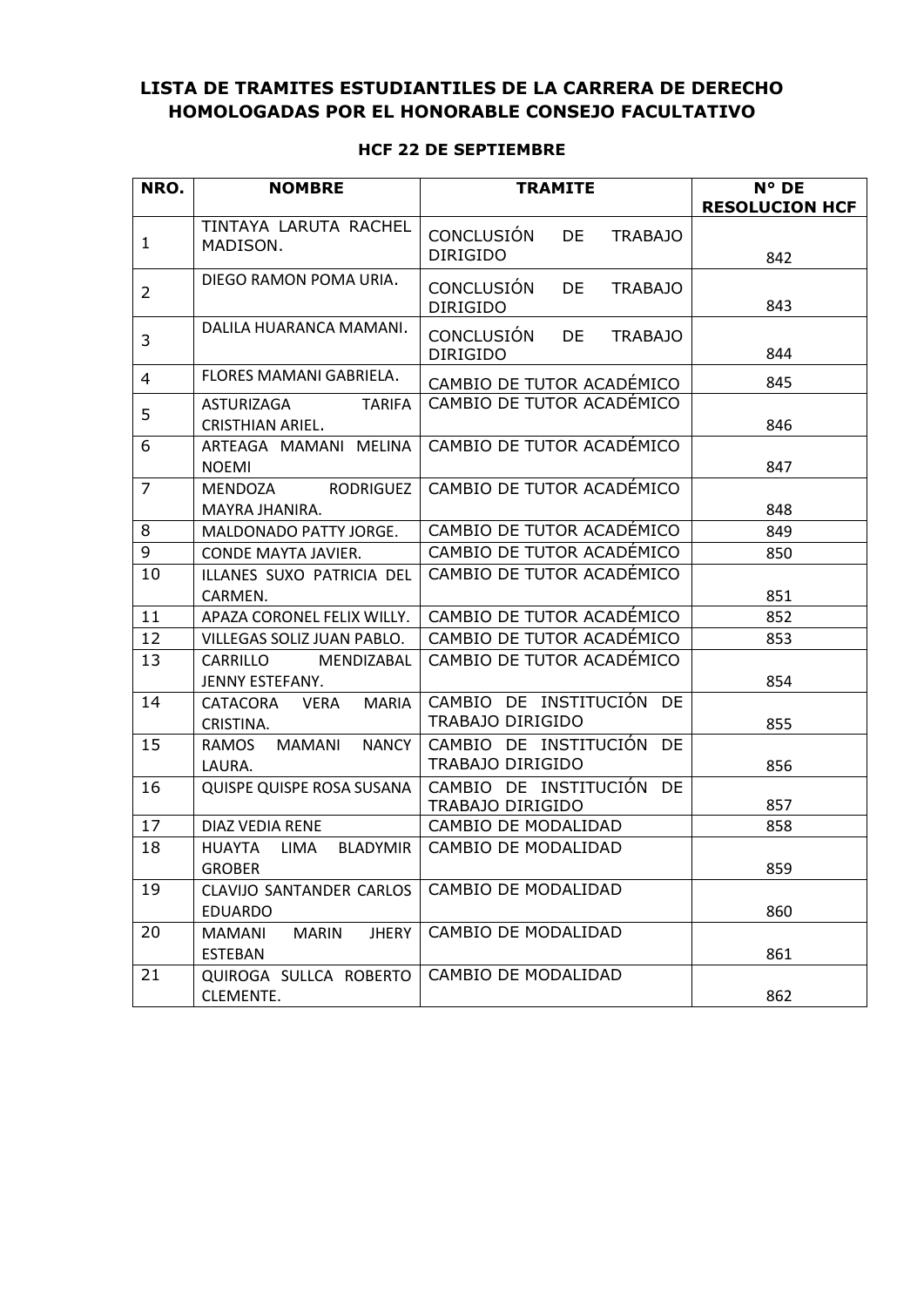## **LISTA DE TRAMITES ESTUDIANTILES DE LA CARRERA DE DERECHO HOMOLOGADAS POR EL HONORABLE CONSEJO FACULTATIVO**

## **HCF 22 DE SEPTIEMBRE**

| NRO.           | <b>NOMBRE</b>                                             | <b>TRAMITE</b>                                               | N° DE<br><b>RESOLUCION HCF</b> |
|----------------|-----------------------------------------------------------|--------------------------------------------------------------|--------------------------------|
| 1              | TINTAYA LARUTA RACHEL<br>MADISON.                         | <b>CONCLUSIÓN</b><br>DE<br><b>TRABAJO</b><br><b>DIRIGIDO</b> | 842                            |
| 2              | DIEGO RAMON POMA URIA.                                    | <b>CONCLUSIÓN</b><br><b>TRABAJO</b><br>DE<br><b>DIRIGIDO</b> | 843                            |
| 3              | DALILA HUARANCA MAMANI.                                   | <b>CONCLUSIÓN</b><br>DE<br><b>TRABAJO</b><br><b>DIRIGIDO</b> | 844                            |
| 4              | FLORES MAMANI GABRIELA.                                   | CAMBIO DE TUTOR ACADÉMICO                                    | 845                            |
| 5              | ASTURIZAGA<br><b>TARIFA</b><br><b>CRISTHIAN ARIEL.</b>    | CAMBIO DE TUTOR ACADÉMICO                                    | 846                            |
| 6              | ARTEAGA MAMANI MELINA<br><b>NOEMI</b>                     | CAMBIO DE TUTOR ACADEMICO                                    | 847                            |
| $\overline{7}$ | RODRIGUEZ<br>MENDOZA<br>MAYRA JHANIRA.                    | CAMBIO DE TUTOR ACADÉMICO                                    | 848                            |
| 8              | MALDONADO PATTY JORGE.                                    | CAMBIO DE TUTOR ACADÉMICO                                    | 849                            |
| 9              | CONDE MAYTA JAVIER.                                       | CAMBIO DE TUTOR ACADÉMICO                                    | 850                            |
| 10             | ILLANES SUXO PATRICIA DEL<br>CARMEN.                      | CAMBIO DE TUTOR ACADÉMICO                                    | 851                            |
| 11             | APAZA CORONEL FELIX WILLY.                                | CAMBIO DE TUTOR ACADÉMICO                                    | 852                            |
| 12             | VILLEGAS SOLIZ JUAN PABLO.                                | CAMBIO DE TUTOR ACADÉMICO                                    | 853                            |
| 13             | CARRILLO<br>MENDIZABAL<br>JENNY ESTEFANY.                 | CAMBIO DE TUTOR ACADÉMICO                                    | 854                            |
| 14             | <b>MARIA</b><br>CATACORA<br>VERA<br>CRISTINA.             | CAMBIO DE INSTITUCIÓN DE<br>TRABAJO DIRIGIDO                 | 855                            |
| 15             | RAMOS<br><b>NANCY</b><br>MAMANI<br>LAURA.                 | CAMBIO DE INSTITUCIÓN DE<br>TRABAJO DIRIGIDO                 | 856                            |
| 16             | QUISPE QUISPE ROSA SUSANA                                 | CAMBIO DE INSTITUCIÓN DE<br>TRABAJO DIRIGIDO                 | 857                            |
| 17             | DIAZ VEDIA RENE                                           | CAMBIO DE MODALIDAD                                          | 858                            |
| 18             | <b>HUAYTA</b><br><b>BLADYMIR</b><br>LIMA<br><b>GROBER</b> | CAMBIO DE MODALIDAD                                          | 859                            |
| 19             | CLAVIJO SANTANDER CARLOS<br><b>EDUARDO</b>                | CAMBIO DE MODALIDAD                                          | 860                            |
| 20             | <b>JHERY</b><br><b>MARIN</b><br>MAMANI<br><b>ESTEBAN</b>  | CAMBIO DE MODALIDAD                                          | 861                            |
| 21             | QUIROGA SULLCA ROBERTO<br>CLEMENTE.                       | CAMBIO DE MODALIDAD                                          | 862                            |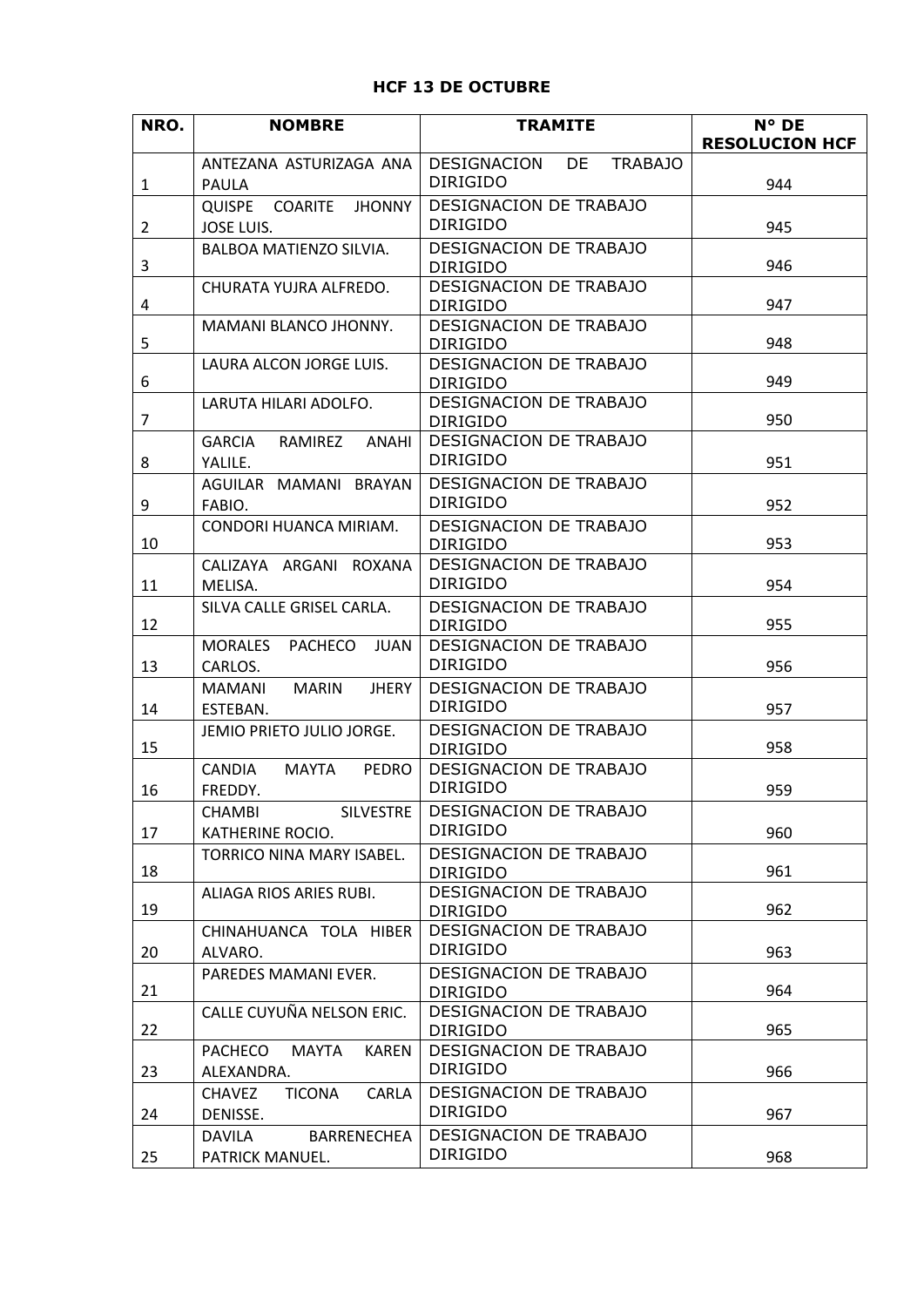## **HCF 13 DE OCTUBRE**

| NRO.           | <b>NOMBRE</b>                                                | <b>TRAMITE</b>                                   | N° DE                 |
|----------------|--------------------------------------------------------------|--------------------------------------------------|-----------------------|
|                | ANTEZANA ASTURIZAGA ANA                                      | DESIGNACION<br><b>DE</b><br><b>TRABAJO</b>       | <b>RESOLUCION HCF</b> |
| $\mathbf{1}$   | <b>PAULA</b>                                                 | <b>DIRIGIDO</b>                                  | 944                   |
|                | <b>QUISPE</b><br>COARITE<br><b>JHONNY</b>                    | DESIGNACION DE TRABAJO                           |                       |
| $\overline{2}$ | JOSE LUIS.                                                   | <b>DIRIGIDO</b>                                  | 945                   |
| 3              | BALBOA MATIENZO SILVIA.                                      | DESIGNACION DE TRABAJO<br><b>DIRIGIDO</b>        | 946                   |
| 4              | CHURATA YUJRA ALFREDO.                                       | <b>DESIGNACION DE TRABAJO</b><br><b>DIRIGIDO</b> | 947                   |
| 5              | MAMANI BLANCO JHONNY.                                        | DESIGNACION DE TRABAJO<br><b>DIRIGIDO</b>        | 948                   |
| 6              | LAURA ALCON JORGE LUIS.                                      | DESIGNACION DE TRABAJO<br><b>DIRIGIDO</b>        | 949                   |
| $\overline{7}$ | LARUTA HILARI ADOLFO.                                        | DESIGNACION DE TRABAJO<br><b>DIRIGIDO</b>        | 950                   |
| 8              | GARCIA<br>RAMIREZ ANAHI<br>YALILE.                           | DESIGNACION DE TRABAJO<br><b>DIRIGIDO</b>        | 951                   |
| 9              | AGUILAR MAMANI BRAYAN<br>FABIO.                              | DESIGNACION DE TRABAJO<br><b>DIRIGIDO</b>        | 952                   |
| 10             | CONDORI HUANCA MIRIAM.                                       | <b>DESIGNACION DE TRABAJO</b><br><b>DIRIGIDO</b> | 953                   |
| 11             | CALIZAYA ARGANI ROXANA<br>MELISA.                            | DESIGNACION DE TRABAJO<br><b>DIRIGIDO</b>        | 954                   |
| 12             | SILVA CALLE GRISEL CARLA.                                    | DESIGNACION DE TRABAJO<br><b>DIRIGIDO</b>        | 955                   |
| 13             | <b>MORALES</b><br>PACHECO<br>JUAN<br>CARLOS.                 | DESIGNACION DE TRABAJO<br><b>DIRIGIDO</b>        | 956                   |
| 14             | MARIN<br><b>JHERY</b><br>MAMANI<br>ESTEBAN.                  | DESIGNACION DE TRABAJO<br><b>DIRIGIDO</b>        | 957                   |
| 15             | JEMIO PRIETO JULIO JORGE.                                    | <b>DESIGNACION DE TRABAJO</b><br><b>DIRIGIDO</b> | 958                   |
| 16             | <b>CANDIA</b><br>MAYTA<br><b>PEDRO</b><br>FREDDY.            | DESIGNACION DE TRABAJO<br><b>DIRIGIDO</b>        | 959                   |
| 17             | <b>CHAMBI</b><br><b>SILVESTRE</b><br>KATHERINE ROCIO.        | <b>DESIGNACION DE TRABAJO</b><br><b>DIRIGIDO</b> | 960                   |
| 18             | TORRICO NINA MARY ISABEL.                                    | DESIGNACION DE TRABAJO<br><b>DIRIGIDO</b>        | 961                   |
| 19             | ALIAGA RIOS ARIES RUBI.                                      | DESIGNACION DE TRABAJO<br><b>DIRIGIDO</b>        | 962                   |
| 20             | CHINAHUANCA TOLA HIBER<br>ALVARO.                            | DESIGNACION DE TRABAJO<br><b>DIRIGIDO</b>        | 963                   |
| 21             | PAREDES MAMANI EVER.                                         | DESIGNACION DE TRABAJO<br><b>DIRIGIDO</b>        | 964                   |
| 22             | CALLE CUYUÑA NELSON ERIC.                                    | DESIGNACION DE TRABAJO<br><b>DIRIGIDO</b>        | 965                   |
| 23             | <b>PACHECO</b><br><b>MAYTA</b><br><b>KAREN</b><br>ALEXANDRA. | DESIGNACION DE TRABAJO<br><b>DIRIGIDO</b>        | 966                   |
| 24             | <b>CHAVEZ</b><br><b>TICONA</b><br>CARLA<br>DENISSE.          | DESIGNACION DE TRABAJO<br><b>DIRIGIDO</b>        | 967                   |
| 25             | DAVILA<br>BARRENECHEA<br>PATRICK MANUEL.                     | DESIGNACION DE TRABAJO<br><b>DIRIGIDO</b>        | 968                   |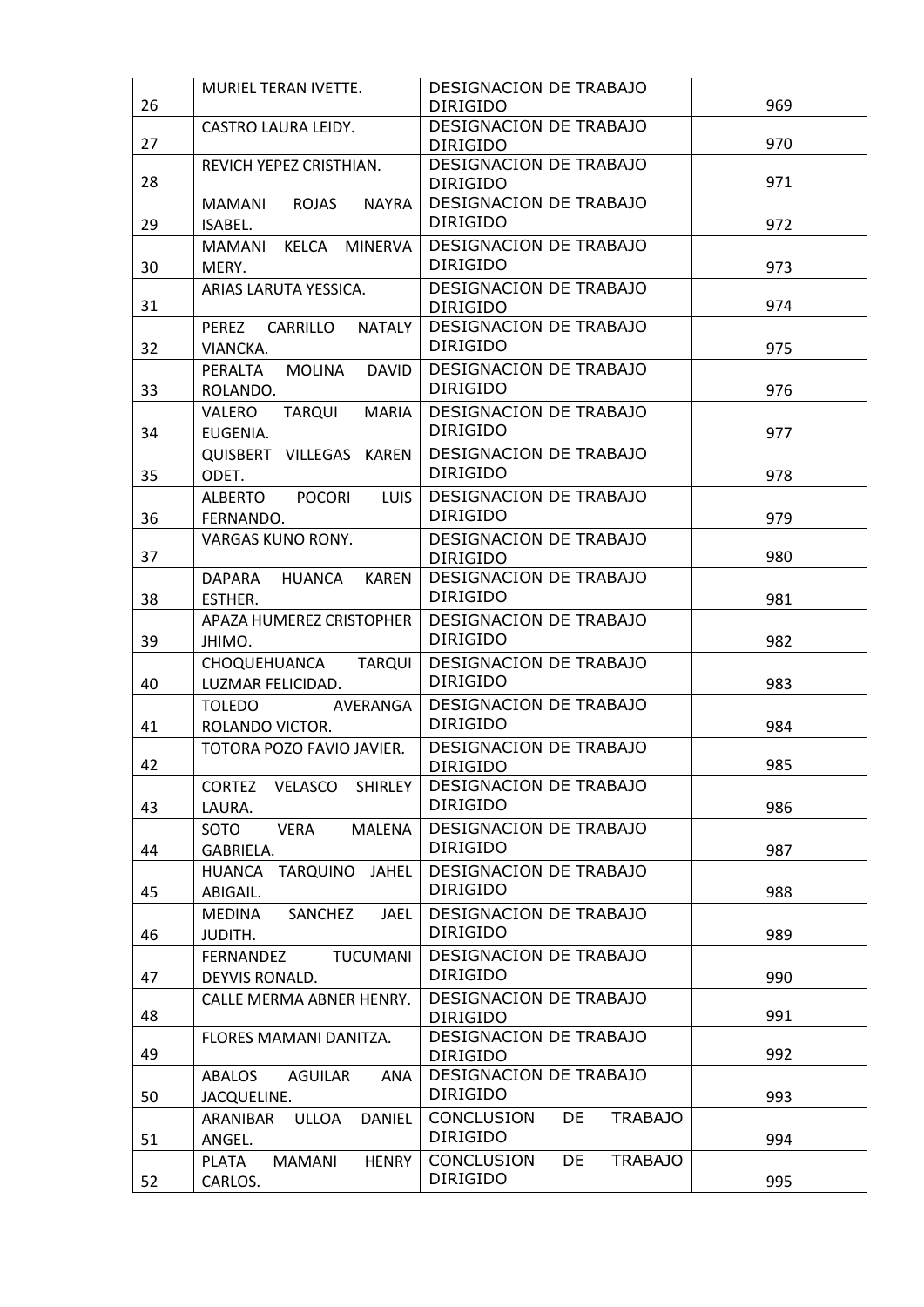| 26 | MURIEL TERAN IVETTE.                                        | DESIGNACION DE TRABAJO<br><b>DIRIGIDO</b>                    | 969 |
|----|-------------------------------------------------------------|--------------------------------------------------------------|-----|
| 27 | <b>CASTRO LAURA LEIDY.</b>                                  | <b>DESIGNACION DE TRABAJO</b><br><b>DIRIGIDO</b>             | 970 |
| 28 | REVICH YEPEZ CRISTHIAN.                                     | DESIGNACION DE TRABAJO<br><b>DIRIGIDO</b>                    | 971 |
| 29 | MAMANI<br>ROJAS<br><b>NAYRA</b><br>ISABEL.                  | DESIGNACION DE TRABAJO<br><b>DIRIGIDO</b>                    | 972 |
| 30 | <b>MINERVA</b><br>MAMANI<br>KELCA<br>MERY.                  | DESIGNACION DE TRABAJO<br><b>DIRIGIDO</b>                    | 973 |
| 31 | ARIAS LARUTA YESSICA.                                       | <b>DESIGNACION DE TRABAJO</b><br><b>DIRIGIDO</b>             | 974 |
| 32 | PEREZ<br>CARRILLO<br><b>NATALY</b><br>VIANCKA.              | DESIGNACION DE TRABAJO<br><b>DIRIGIDO</b>                    | 975 |
| 33 | <b>MOLINA</b><br><b>DAVID</b><br>PERALTA<br>ROLANDO.        | DESIGNACION DE TRABAJO<br><b>DIRIGIDO</b>                    | 976 |
| 34 | VALERO<br><b>TARQUI</b><br><b>MARIA</b><br>EUGENIA.         | DESIGNACION DE TRABAJO<br><b>DIRIGIDO</b>                    | 977 |
| 35 | QUISBERT VILLEGAS KAREN<br>ODET.                            | <b>DESIGNACION DE TRABAJO</b><br><b>DIRIGIDO</b>             | 978 |
| 36 | <b>ALBERTO</b><br><b>POCORI</b><br><b>LUIS</b><br>FERNANDO. | DESIGNACION DE TRABAJO<br><b>DIRIGIDO</b>                    | 979 |
| 37 | <b>VARGAS KUNO RONY.</b>                                    | DESIGNACION DE TRABAJO<br><b>DIRIGIDO</b>                    | 980 |
| 38 | <b>HUANCA</b><br>DAPARA<br><b>KAREN</b><br>ESTHER.          | DESIGNACION DE TRABAJO<br><b>DIRIGIDO</b>                    | 981 |
| 39 | APAZA HUMEREZ CRISTOPHER<br>JHIMO.                          | DESIGNACION DE TRABAJO<br><b>DIRIGIDO</b>                    | 982 |
| 40 | <b>TARQUI</b><br>CHOQUEHUANCA<br>LUZMAR FELICIDAD.          | DESIGNACION DE TRABAJO<br><b>DIRIGIDO</b>                    | 983 |
| 41 | TOLEDO AVERANGA<br>ROLANDO VICTOR.                          | DESIGNACION DE TRABAJO<br><b>DIRIGIDO</b>                    | 984 |
| 42 | TOTORA POZO FAVIO JAVIER.                                   | DESIGNACION DE TRABAJO<br><b>DIRIGIDO</b>                    | 985 |
| 43 | VELASCO<br><b>SHIRLEY</b><br><b>CORTEZ</b><br>LAURA.        | DESIGNACION DE TRABAJO<br><b>DIRIGIDO</b>                    | 986 |
| 44 | SOTO<br><b>VERA</b><br><b>MALENA</b><br>GABRIELA.           | DESIGNACION DE TRABAJO<br>DIRIGIDO                           | 987 |
| 45 | <b>HUANCA</b><br>TARQUINO JAHEL<br>ABIGAIL.                 | <b>DESIGNACION DE TRABAJO</b><br><b>DIRIGIDO</b>             | 988 |
| 46 | SANCHEZ<br><b>MEDINA</b><br><b>JAEL</b><br>JUDITH.          | DESIGNACION DE TRABAJO<br><b>DIRIGIDO</b>                    | 989 |
| 47 | FERNANDEZ<br><b>TUCUMANI</b><br>DEYVIS RONALD.              | DESIGNACION DE TRABAJO<br><b>DIRIGIDO</b>                    | 990 |
| 48 | CALLE MERMA ABNER HENRY.                                    | DESIGNACION DE TRABAJO<br><b>DIRIGIDO</b>                    | 991 |
| 49 | FLORES MAMANI DANITZA.                                      | DESIGNACION DE TRABAJO<br><b>DIRIGIDO</b>                    | 992 |
| 50 | <b>AGUILAR</b><br>ANA<br>ABALOS<br>JACQUELINE.              | DESIGNACION DE TRABAJO<br><b>DIRIGIDO</b>                    | 993 |
| 51 | <b>DANIEL</b><br>ARANIBAR<br><b>ULLOA</b><br>ANGEL.         | CONCLUSION<br>DE<br><b>TRABAJO</b><br>DIRIGIDO               | 994 |
| 52 | <b>PLATA</b><br><b>HENRY</b><br>MAMANI<br>CARLOS.           | <b>CONCLUSION</b><br>DE<br><b>TRABAJO</b><br><b>DIRIGIDO</b> | 995 |